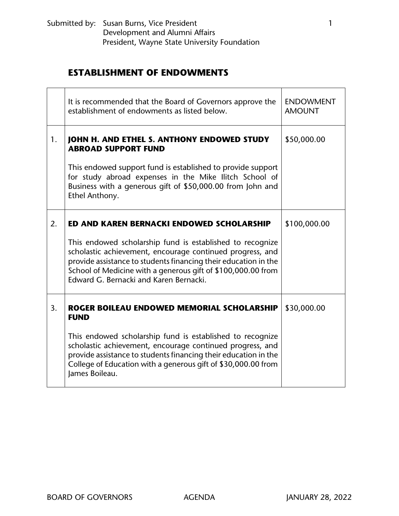|    | It is recommended that the Board of Governors approve the<br>establishment of endowments as listed below.                                                                                                                                                                                           | <b>ENDOWMENT</b><br><b>AMOUNT</b> |
|----|-----------------------------------------------------------------------------------------------------------------------------------------------------------------------------------------------------------------------------------------------------------------------------------------------------|-----------------------------------|
| 1. | JOHN H. AND ETHEL S. ANTHONY ENDOWED STUDY<br><b>ABROAD SUPPORT FUND</b>                                                                                                                                                                                                                            | \$50,000.00                       |
|    | This endowed support fund is established to provide support<br>for study abroad expenses in the Mike Ilitch School of<br>Business with a generous gift of \$50,000.00 from John and<br>Ethel Anthony.                                                                                               |                                   |
| 2. | ED AND KAREN BERNACKI ENDOWED SCHOLARSHIP                                                                                                                                                                                                                                                           | \$100,000.00                      |
|    | This endowed scholarship fund is established to recognize<br>scholastic achievement, encourage continued progress, and<br>provide assistance to students financing their education in the<br>School of Medicine with a generous gift of \$100,000.00 from<br>Edward G. Bernacki and Karen Bernacki. |                                   |
| 3. | ROGER BOILEAU ENDOWED MEMORIAL SCHOLARSHIP<br><b>FUND</b>                                                                                                                                                                                                                                           | \$30,000.00                       |
|    | This endowed scholarship fund is established to recognize<br>scholastic achievement, encourage continued progress, and<br>provide assistance to students financing their education in the<br>College of Education with a generous gift of \$30,000.00 from<br>James Boileau.                        |                                   |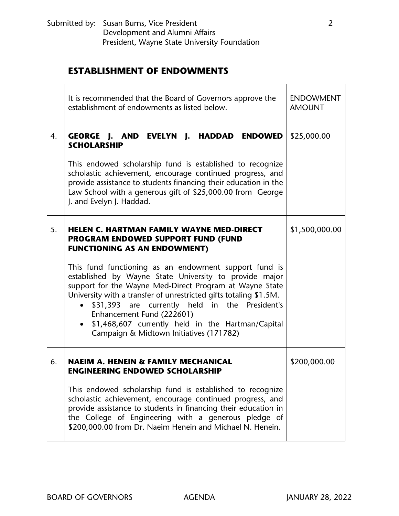|    | It is recommended that the Board of Governors approve the<br>establishment of endowments as listed below.                                                                                                                                                                                                                                                                                                                                     | <b>ENDOWMENT</b><br><b>AMOUNT</b> |
|----|-----------------------------------------------------------------------------------------------------------------------------------------------------------------------------------------------------------------------------------------------------------------------------------------------------------------------------------------------------------------------------------------------------------------------------------------------|-----------------------------------|
| 4. | GEORGE J. AND EVELYN J. HADDAD ENDOWED<br><b>SCHOLARSHIP</b>                                                                                                                                                                                                                                                                                                                                                                                  | \$25,000.00                       |
|    | This endowed scholarship fund is established to recognize<br>scholastic achievement, encourage continued progress, and<br>provide assistance to students financing their education in the<br>Law School with a generous gift of \$25,000.00 from George<br>J. and Evelyn J. Haddad.                                                                                                                                                           |                                   |
| 5. | <b>HELEN C. HARTMAN FAMILY WAYNE MED-DIRECT</b><br><b>PROGRAM ENDOWED SUPPORT FUND (FUND</b><br><b>FUNCTIONING AS AN ENDOWMENT)</b>                                                                                                                                                                                                                                                                                                           | \$1,500,000.00                    |
|    | This fund functioning as an endowment support fund is<br>established by Wayne State University to provide major<br>support for the Wayne Med-Direct Program at Wayne State<br>University with a transfer of unrestricted gifts totaling \$1.5M.<br>\$31,393 are currently held in the President's<br>$\bullet$<br>Enhancement Fund (222601)<br>• \$1,468,607 currently held in the Hartman/Capital<br>Campaign & Midtown Initiatives (171782) |                                   |
| 6. | NAEIM A. HENEIN & FAMILY MECHANICAL<br><b>ENGINEERING ENDOWED SCHOLARSHIP</b>                                                                                                                                                                                                                                                                                                                                                                 | \$200,000.00                      |
|    | This endowed scholarship fund is established to recognize<br>scholastic achievement, encourage continued progress, and<br>provide assistance to students in financing their education in<br>the College of Engineering with a generous pledge of<br>\$200,000.00 from Dr. Naeim Henein and Michael N. Henein.                                                                                                                                 |                                   |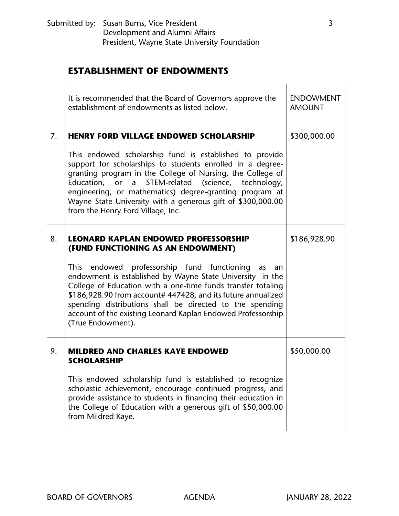|    | It is recommended that the Board of Governors approve the<br>establishment of endowments as listed below.                                                                                                                                                                                                                                                                                                | <b>ENDOWMENT</b><br><b>AMOUNT</b> |
|----|----------------------------------------------------------------------------------------------------------------------------------------------------------------------------------------------------------------------------------------------------------------------------------------------------------------------------------------------------------------------------------------------------------|-----------------------------------|
| 7. | <b>HENRY FORD VILLAGE ENDOWED SCHOLARSHIP</b>                                                                                                                                                                                                                                                                                                                                                            | \$300,000.00                      |
|    | This endowed scholarship fund is established to provide<br>support for scholarships to students enrolled in a degree-<br>granting program in the College of Nursing, the College of<br>Education, or a STEM-related (science, technology,<br>engineering, or mathematics) degree-granting program at<br>Wayne State University with a generous gift of \$300,000.00<br>from the Henry Ford Village, Inc. |                                   |
| 8. | <b>LEONARD KAPLAN ENDOWED PROFESSORSHIP</b><br>(FUND FUNCTIONING AS AN ENDOWMENT)                                                                                                                                                                                                                                                                                                                        | \$186,928.90                      |
|    | This endowed professorship fund functioning as<br>an<br>endowment is established by Wayne State University in the<br>College of Education with a one-time funds transfer totaling<br>\$186,928.90 from account# 447428, and its future annualized<br>spending distributions shall be directed to the spending<br>account of the existing Leonard Kaplan Endowed Professorship<br>(True Endowment).       |                                   |
| 9. | <b>MILDRED AND CHARLES KAYE ENDOWED</b><br><b>SCHOLARSHIP</b>                                                                                                                                                                                                                                                                                                                                            | \$50,000.00                       |
|    | This endowed scholarship fund is established to recognize<br>scholastic achievement, encourage continued progress, and<br>provide assistance to students in financing their education in<br>the College of Education with a generous gift of \$50,000.00<br>from Mildred Kaye.                                                                                                                           |                                   |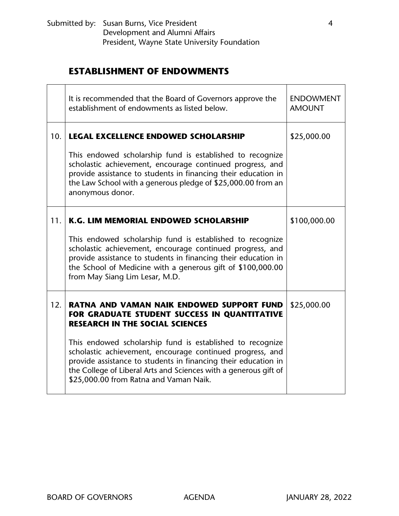|     | It is recommended that the Board of Governors approve the<br>establishment of endowments as listed below.                                                                                                                                                                                              | <b>ENDOWMENT</b><br><b>AMOUNT</b> |
|-----|--------------------------------------------------------------------------------------------------------------------------------------------------------------------------------------------------------------------------------------------------------------------------------------------------------|-----------------------------------|
| 10. | <b>LEGAL EXCELLENCE ENDOWED SCHOLARSHIP</b>                                                                                                                                                                                                                                                            | \$25,000.00                       |
|     | This endowed scholarship fund is established to recognize<br>scholastic achievement, encourage continued progress, and<br>provide assistance to students in financing their education in<br>the Law School with a generous pledge of \$25,000.00 from an<br>anonymous donor.                           |                                   |
| 11. | K.G. LIM MEMORIAL ENDOWED SCHOLARSHIP                                                                                                                                                                                                                                                                  | \$100,000.00                      |
|     | This endowed scholarship fund is established to recognize<br>scholastic achievement, encourage continued progress, and<br>provide assistance to students in financing their education in<br>the School of Medicine with a generous gift of \$100,000.00<br>from May Siang Lim Lesar, M.D.              |                                   |
| 12. | <b>RATNA AND VAMAN NAIK ENDOWED SUPPORT FUND</b><br>FOR GRADUATE STUDENT SUCCESS IN QUANTITATIVE<br><b>RESEARCH IN THE SOCIAL SCIENCES</b>                                                                                                                                                             | \$25,000.00                       |
|     | This endowed scholarship fund is established to recognize<br>scholastic achievement, encourage continued progress, and<br>provide assistance to students in financing their education in<br>the College of Liberal Arts and Sciences with a generous gift of<br>\$25,000.00 from Ratna and Vaman Naik. |                                   |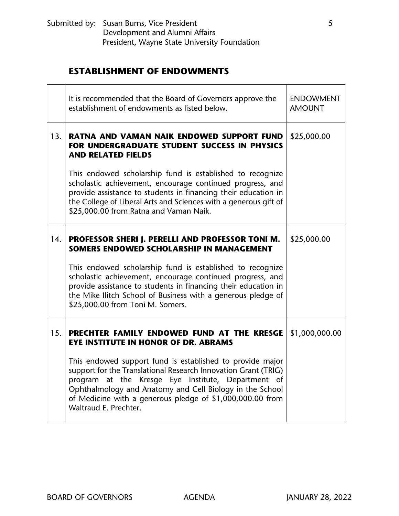|     | It is recommended that the Board of Governors approve the<br>establishment of endowments as listed below.                                                                                                                                                                                                                           | <b>ENDOWMENT</b><br><b>AMOUNT</b> |
|-----|-------------------------------------------------------------------------------------------------------------------------------------------------------------------------------------------------------------------------------------------------------------------------------------------------------------------------------------|-----------------------------------|
| 13. | RATNA AND VAMAN NAIK ENDOWED SUPPORT FUND<br>FOR UNDERGRADUATE STUDENT SUCCESS IN PHYSICS<br><b>AND RELATED FIELDS</b>                                                                                                                                                                                                              | \$25,000.00                       |
|     | This endowed scholarship fund is established to recognize<br>scholastic achievement, encourage continued progress, and<br>provide assistance to students in financing their education in<br>the College of Liberal Arts and Sciences with a generous gift of<br>\$25,000.00 from Ratna and Vaman Naik.                              |                                   |
| 14. | PROFESSOR SHERI J. PERELLI AND PROFESSOR TONI M.<br>SOMERS ENDOWED SCHOLARSHIP IN MANAGEMENT                                                                                                                                                                                                                                        | \$25,000.00                       |
|     | This endowed scholarship fund is established to recognize<br>scholastic achievement, encourage continued progress, and<br>provide assistance to students in financing their education in<br>the Mike Ilitch School of Business with a generous pledge of<br>\$25,000.00 from Toni M. Somers.                                        |                                   |
| 15. | PRECHTER FAMILY ENDOWED FUND AT THE KRESGE<br><b>EYE INSTITUTE IN HONOR OF DR. ABRAMS</b>                                                                                                                                                                                                                                           | \$1,000,000.00                    |
|     | This endowed support fund is established to provide major<br>support for the Translational Research Innovation Grant (TRIG)<br>program at the Kresge Eye Institute, Department of<br>Ophthalmology and Anatomy and Cell Biology in the School<br>of Medicine with a generous pledge of \$1,000,000.00 from<br>Waltraud E. Prechter. |                                   |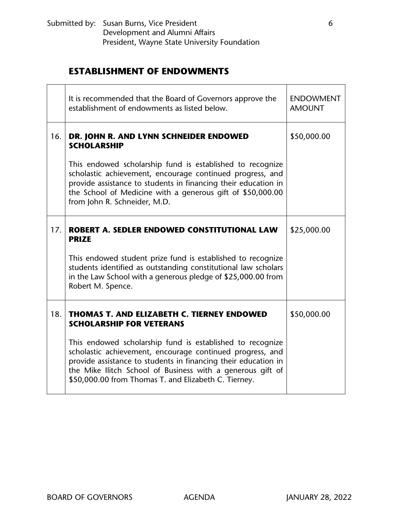|     | It is recommended that the Board of Governors approve the<br>establishment of endowments as listed below.                                                                                                                                                                                                      | <b>ENDOWMENT</b><br><b>AMOUNT</b> |
|-----|----------------------------------------------------------------------------------------------------------------------------------------------------------------------------------------------------------------------------------------------------------------------------------------------------------------|-----------------------------------|
| 16. | DR. JOHN R. AND LYNN SCHNEIDER ENDOWED<br><b>SCHOLARSHIP</b>                                                                                                                                                                                                                                                   | \$50,000.00                       |
|     | This endowed scholarship fund is established to recognize<br>scholastic achievement, encourage continued progress, and<br>provide assistance to students in financing their education in<br>the School of Medicine with a generous gift of \$50,000.00<br>from John R. Schneider, M.D.                         |                                   |
| 17. | <b>ROBERT A. SEDLER ENDOWED CONSTITUTIONAL LAW</b><br><b>PRIZE</b>                                                                                                                                                                                                                                             | \$25,000.00                       |
|     | This endowed student prize fund is established to recognize<br>students identified as outstanding constitutional law scholars<br>in the Law School with a generous pledge of \$25,000.00 from<br>Robert M. Spence.                                                                                             |                                   |
| 18. | <b>THOMAS T. AND ELIZABETH C. TIERNEY ENDOWED</b><br><b>SCHOLARSHIP FOR VETERANS</b>                                                                                                                                                                                                                           | \$50,000.00                       |
|     | This endowed scholarship fund is established to recognize<br>scholastic achievement, encourage continued progress, and<br>provide assistance to students in financing their education in<br>the Mike Ilitch School of Business with a generous gift of<br>\$50,000.00 from Thomas T. and Elizabeth C. Tierney. |                                   |